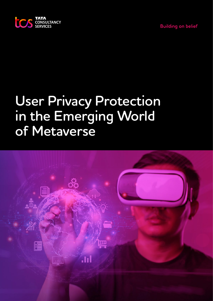



# **User Privacy Protection in the Emerging World of Metaverse**

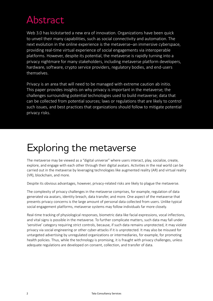# Abstract

Web 3.0 has kickstarted a new era of innovation. Organizations have been quick to unveil their many capabilities, such as social connectivity and automation. The next evolution in the online experience is the metaverse–an immersive cyberspace, providing real-time virtual experience of social engagements via interoperable platforms. However, despite its potential, the metaverse is rapidly turning into a privacy nightmare for many stakeholders, including metaverse platform developers, hardware, software, crypto service providers, regulatory bodies, and end-users themselves.

Privacy is an area that will need to be managed with extreme caution ab initio. This paper provides insights on why privacy is important in the metaverse; the challenges surrounding potential technologies used to build metaverse; data that can be collected from potential sources; laws or regulations that are likely to control such issues, and best practices that organizations should follow to mitigate potential privacy risks.

### Exploring the metaverse

The metaverse may be viewed as a "digital universe" where users interact, play, socialize, create, explore, and engage with each other through their digital avatars. Activities in the real world can be carried out in the metaverse by leveraging technologies like augmented reality (AR) and virtual reality (VR), blockchain, and more.

Despite its obvious advantages, however, privacy-related risks are likely to plague the metaverse.

The complexity of privacy challenges in the metaverse comprises, for example, regulation of data generated via avatars, identity breach, data transfer, and more. One aspect of the metaverse that presents privacy concerns is the large amount of personal data collected from users. Unlike typical social engagement platforms, metaverse systems may follow individuals far more closely.

Real-time tracking of physiological responses, biometric data like facial expressions, vocal inflections, and vital signs is possible in the metaverse. To further complicate matters, such data may fall under 'sensitive' category requiring strict controls, because, if such data remains unprotected, it may violate privacy via social engineering or other cyber-attacks if it is unprotected. It may also be misused for untargeted advertising by unregulated organizations or intermediaries, for example, for promoting health policies. Thus, while the technology is promising, it is fraught with privacy challenges, unless adequate regulations are developed on consent, collection, and transfer of data.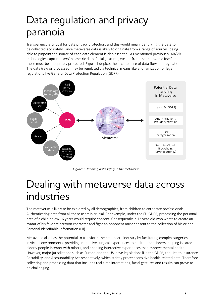# Data regulation and privacy paranoia

Transparency is critical for data privacy protection, and this would mean identifying the data to be collected accurately. Since metaverse data is likely to originate from a range of sources, being able to pinpoint the source of each data element is also essential. As mentioned previously, AR/VR technologies capture users' biometric data, facial gestures, etc., or from the metaverse itself and these must be adequately protected. Figure 1 depicts the architecture of data flow and regulation. The data (raw or processed) may be regulated via technical means like anonymization or legal regulations like General Data Protection Regulation (GDPR).



*Figure1: Handling data safely in the metaverse*

### Dealing with metaverse data across industries

The metaverse is likely to be explored by all demographics, from children to corporate professionals. Authenticating data from all these users is crucial. For example, under the EU GDPR, processing the personal data of a child below 16 years would require consent. Consequently, a 12-year-old who wants to create an avatar of his favorite cartoon character and fight an opponent must consent to the collection of his or her Personal Identifiable Information (PII).

Metaverse also has the potential to transform the healthcare industry by facilitating complex surgeries in virtual environments, providing immersive surgical experiences to health practitioners, helping isolated elderly people interact with others, and enabling interactive experiences that improve mental health. However, major jurisdictions such as Europe and the US, have legislations like the GDPR, the Health Insurance Portability, and Accountability Act respectively, which strictly protect sensitive health-related data. Therefore, collecting and processing data that includes real-time interactions, facial gestures and results can prove to be challenging.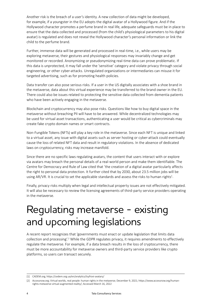Another risk is the breach of a user's identity. A new collection of data might be developed, for example, if a youngster in the EU adopts the digital avatar of a Hollywood figure. And if the Hollywood character promotes a perfume brand in real life, adequate safeguards must be in place to ensure that the data collected and processed (from the child's physiological parameters to his digital avatar) is regulated and does not reveal the Hollywood character's personal information or link the child to the perfume brand.

Further, immense data will be generated and processed in real-time, i.e., while users may be exploring metaverse, their gestures and physiological responses may invariably change and get monitored or recorded. Anonymizing or pseudonymizing real-time data can prove problematic. If this data is unprotected, it may fall under the 'sensitive' category and violate privacy through social engineering, or other cyber-attacks. Unregulated organizations or intermediaries can misuse it for targeted advertising, such as for promoting health policies.

Data transfer can also pose serious risks. If a user in the US digitally associates with a shoe brand in the metaverse, data about this virtual experience may be transferred to the brand owner in the EU. There could also be issues related to protecting the sensitive data collected from dementia patients who have been actively engaging in the metaverse.

Blockchain and cryptocurrency may also pose risks. Questions like how to buy digital space in the metaverse without breaching PII will have to be answered. While decentralized technologies may be used for virtual asset transactions, authenticating a user would be critical as cybercriminals may create fake crypto domain names or smart contracts.

Non-Fungible Tokens (NFTs) will play a key role in the metaverse. Since each NFT is unique and linked to a virtual asset, any issue with digital assets such as server hosting or cyber-attack could eventually cause the loss of related NFT data and result in regulatory violations. In the absence of dedicated laws on cryptocurrency, risks may increase manifold.

Since there are no specific laws regulating avatars, the content that users interact with or explore via avatars may breach the personal details of a real-world person and make them identifiable. The Centre for Democracy and Rule of Law cited that 'the creation of a digital avatar particularly affects the right to personal data protection. It further cited that by 2030, about 23.5 million jobs will be using AR/VR. It is crucial to set the applicable standards and assess the risks to human rights<sup>1</sup>.

Finally, privacy risks multiply when legal and intellectual property issues are not effectively mitigated. It will also be necessary to review the licensing agreements of third-party service providers operating in the metaverse.

# Regulating metaverse - existing and upcoming legislations

A recent report recognizes that 'governments must enact or update legislation that limits data collection and processing'.<sup>2</sup> While the GDPR regulates privacy, it requires amendments to effectively regulate the metaverse. For example, if a data breach results in the loss of cryptocurrency, there must be more accountability for metaverse owners and third-party service providers like crypto platforms, so users can transact securely.

<sup>[1]</sup> CADEM.org; https://cedem.org.ua/en/analytics/tsyfrovi-avatary/

<sup>[2]</sup> Accessnow.org; Virtual worlds, real people: human rights in the metaverse; December 9, 2021; https://www.accessnow.org/humanrights-metaverse-virtual-augmented-reality/; Accessed March 16, 2022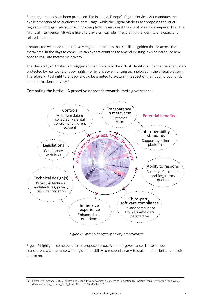Some regulations have been proposed. For instance, Europe's Digital Services Act mandates the explicit mention of restrictions on data usage, while the Digital Markets Act proposes the strict regulation of organizations providing core platform services if they qualify as 'gatekeepers.' The EU's Artificial Intelligence (AI) Act is likely to play a critical role in regulating the identity of avatars and related content.

Creators too will need to proactively engineer practices that run like a golden thread across the metaverse. In the days to come, we can expect countries to amend existing laws or introduce new ones to regulate metaverse privacy.

The University of Amsterdam suggested that 'Privacy of the virtual identity can neither be adequately protected by real world privacy rights, nor by privacy enhancing technologies in the virtual platform. Therefore, virtual right to privacy should be granted to avatars in respect of their bodily, locational, and informational privacy.<sup>3</sup>



#### Combating the battle – A proactive approach towards 'meta governance'

*Figure 2: Potential benefits of privacy proactiveness*

Figure 2 highlights some benefits of proposed proactive meta governance. These include transparency, compliance with legislation, ability to respond clearly to stakeholders, better controls, and so on.

<sup>[3]</sup> Forschung / Analyse; Virtual Identity and Virtual Privacy: towards a Concept of Regulation by Analogy; https://www.ivir.nl/publicaties/ download/eGov\_prasenz\_2011\_1.pdf; Accessed 16 March 2022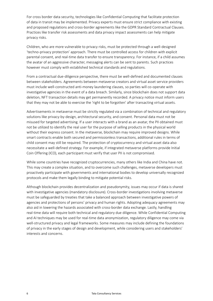For cross border data security, technologies like Confidential Computing that facilitate protection of data in transit may be implemented. Privacy experts must ensure strict compliance with existing and proposed regulations and cross-border agreements like the GDPR Standard Contractual Clauses. Practices like transfer risk assessments and data privacy impact assessments can help mitigate privacy risks.

Children, who are more vulnerable to privacy risks, must be protected through a well-designed 'techno-privacy protection' approach. There must be controlled access for children with explicit parental consent, and real-time data transfer to ensure transparency. For instance, if a child assumes the avatar of an aggressive character, messaging alerts can be sent to parents. Such practices however must comply with established technical standards and regulations.

From a contractual due-diligence perspective, there must be well-defined and documented clauses between stakeholders. Agreements between metaverse creators and virtual asset service providers must include well-constructed anti-money laundering clauses, so parties will co-operate with investigative agencies in the event of a data breach. Similarly, since blockchain does not support data deletion, NFT transaction details may get permanently recorded. A privacy notice must inform users that they may not be able to exercise the 'right to be forgotten' after transacting virtual assets.

Advertisements in metaverse must be strictly regulated via a combination of technical and regulatory solutions like privacy-by-design, architectural security, and consent. Personal data must not be misused for targeted advertising. If a user interacts with a brand as an avatar, the PII obtained must not be utilized to identify the real user for the purpose of selling products in the physical world without their express consent. In the metaverse, blockchain may require improved designs. While smart contracts enable both secured and permissionless transactions, additional rules in terms of child consent may still be required. The protection of cryptocurrency and virtual asset data also necessitate a well-defined strategy. For example, if integrated metaverse platforms provide Initial Coin Offering (ICO), each participant must verify that user PII is not compromised.

While some countries have recognized cryptocurrencies, many others like India and China have not. This may create a complex situation, and to overcome such challenges, metaverse developers must proactively participate with governments and international bodies to develop universally recognized protocols and make them legally binding to mitigate potential risks.

Although blockchain provides decentralization and pseudonymity, issues may occur if data is shared with investigative agencies (mandatory disclosure). Cross-border investigations involving metaverse must be safeguarded by treaties that take a balanced approach between investigative powers of agencies and protections of persons' privacy and human rights. Adopting adequacy agreements may also aid in lowering the hazards associated with cross-border data exchange. Lastly, handling real-time data will require both technical and regulatory due diligence. While Confidential Computing and AI techniques may be used for real-time data anonymization, regulatory diligence may come via well-structured privacy and legal frameworks. Some measures may include defining the foundations of privacy in the early stages of design and development, while considering users and stakeholders' interests and concerns.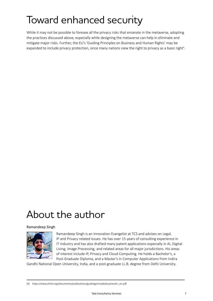# Toward enhanced security

While it may not be possible to foresee all the privacy risks that emanate in the metaverse, adopting the practices discussed above, especially while designing the metaverse can help in eliminate and mitigate major risks. Further, the EU's 'Guiding Principles on Business and Human Rights' may be expanded to include privacy protection, since many nations view the right to privacy as a basic right<sup>4</sup>.

### About the author

#### Ramandeep Singh



Ramandeep Singh is an Innovation Evangelist at TCS and advises on Legal, IP and Privacy related issues. He has over 15 years of consulting experience in IT industry and has also drafted many patent applications especially in AI, Digital Living, Image Processing, and related areas for all major jurisdictions. His areas of interest include IP, Privacy and Cloud Computing. He holds a Bachelor's, a Post-Graduate Diploma, and a Master's in Computer Applications from Indira

Gandhi National Open University, India, and a post-graduate LL.B. degree from Delhi University.

[4] https://www.ohchr.org/documents/publications/guidingprinciplesbusinesshr\_en.pdf